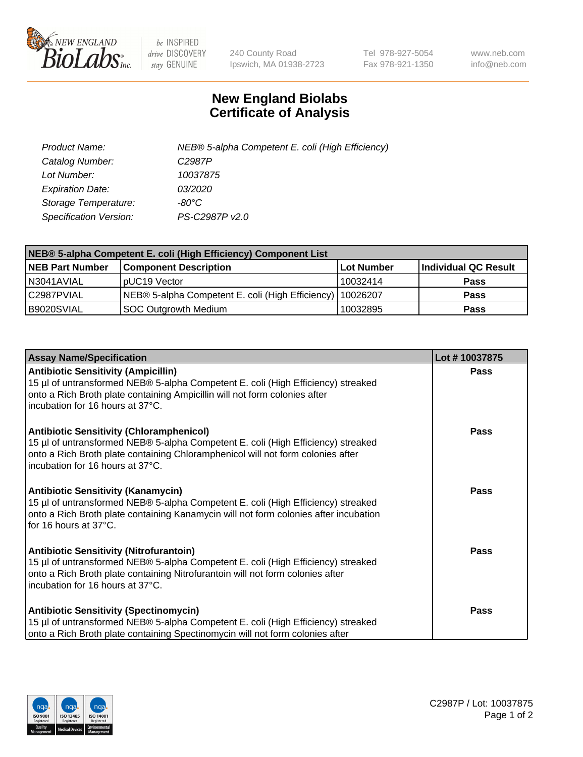

 $be$  INSPIRED drive DISCOVERY stay GENUINE

240 County Road Ipswich, MA 01938-2723 Tel 978-927-5054 Fax 978-921-1350 www.neb.com info@neb.com

## **New England Biolabs Certificate of Analysis**

| Product Name:           | NEB® 5-alpha Competent E. coli (High Efficiency) |
|-------------------------|--------------------------------------------------|
| Catalog Number:         | C <sub>2987</sub> P                              |
| Lot Number:             | 10037875                                         |
| <b>Expiration Date:</b> | <i>03/2020</i>                                   |
| Storage Temperature:    | -80°C                                            |
| Specification Version:  | PS-C2987P v2.0                                   |

| NEB® 5-alpha Competent E. coli (High Efficiency) Component List |                                                  |            |                      |  |
|-----------------------------------------------------------------|--------------------------------------------------|------------|----------------------|--|
| <b>NEB Part Number</b>                                          | <b>Component Description</b>                     | Lot Number | Individual QC Result |  |
| N3041AVIAL                                                      | pUC19 Vector                                     | 10032414   | <b>Pass</b>          |  |
| C2987PVIAL                                                      | NEB® 5-alpha Competent E. coli (High Efficiency) | 10026207   | <b>Pass</b>          |  |
| B9020SVIAL                                                      | SOC Outgrowth Medium                             | 10032895   | <b>Pass</b>          |  |

| <b>Assay Name/Specification</b>                                                                                                                                                                                                                            | Lot #10037875 |
|------------------------------------------------------------------------------------------------------------------------------------------------------------------------------------------------------------------------------------------------------------|---------------|
| <b>Antibiotic Sensitivity (Ampicillin)</b><br>15 µl of untransformed NEB® 5-alpha Competent E. coli (High Efficiency) streaked<br>onto a Rich Broth plate containing Ampicillin will not form colonies after<br>incubation for 16 hours at 37°C.           | <b>Pass</b>   |
| <b>Antibiotic Sensitivity (Chloramphenicol)</b><br>15 µl of untransformed NEB® 5-alpha Competent E. coli (High Efficiency) streaked<br>onto a Rich Broth plate containing Chloramphenicol will not form colonies after<br>incubation for 16 hours at 37°C. | <b>Pass</b>   |
| <b>Antibiotic Sensitivity (Kanamycin)</b><br>15 µl of untransformed NEB® 5-alpha Competent E. coli (High Efficiency) streaked<br>onto a Rich Broth plate containing Kanamycin will not form colonies after incubation<br>for 16 hours at 37°C.             | Pass          |
| <b>Antibiotic Sensitivity (Nitrofurantoin)</b><br>15 µl of untransformed NEB® 5-alpha Competent E. coli (High Efficiency) streaked<br>onto a Rich Broth plate containing Nitrofurantoin will not form colonies after<br>incubation for 16 hours at 37°C.   | Pass          |
| <b>Antibiotic Sensitivity (Spectinomycin)</b><br>15 µl of untransformed NEB® 5-alpha Competent E. coli (High Efficiency) streaked<br>onto a Rich Broth plate containing Spectinomycin will not form colonies after                                         | Pass          |